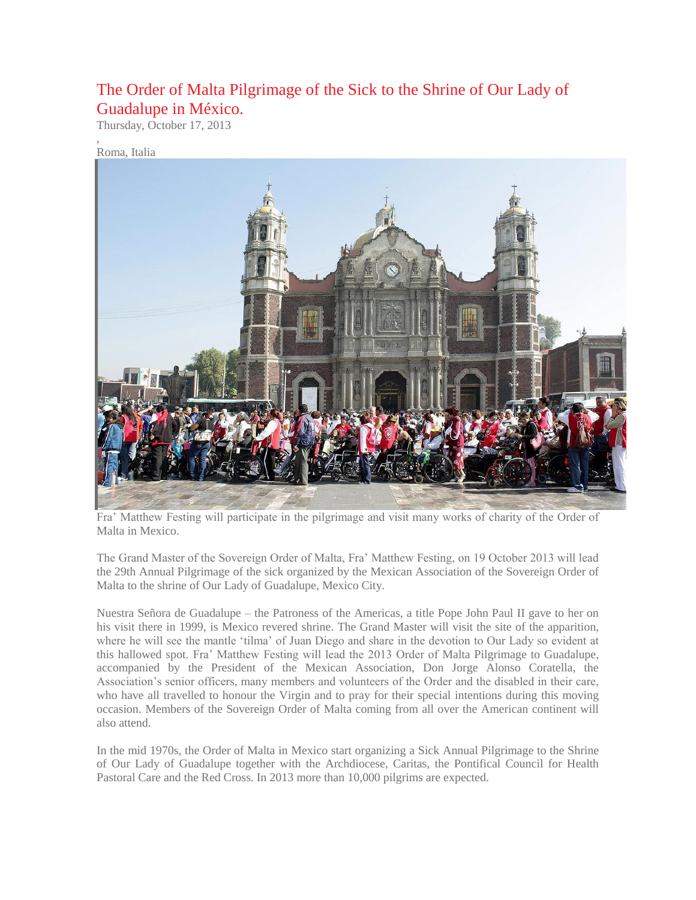## The Order of Malta Pilgrimage of the Sick to the Shrine of Our Lady of Guadalupe in México.

Thursday, October 17, 2013

## Roma, Italia

,



Fra' Matthew Festing will participate in the pilgrimage and visit many works of charity of the Order of Malta in Mexico.

The Grand Master of the Sovereign Order of Malta, Fra' Matthew Festing, on 19 October 2013 will lead the 29th Annual Pilgrimage of the sick organized by the Mexican Association of the Sovereign Order of Malta to the shrine of Our Lady of Guadalupe, Mexico City.

Nuestra Señora de Guadalupe – the Patroness of the Americas, a title Pope John Paul II gave to her on his visit there in 1999, is Mexico revered shrine. The Grand Master will visit the site of the apparition, where he will see the mantle 'tilma' of Juan Diego and share in the devotion to Our Lady so evident at this hallowed spot. Fra' Matthew Festing will lead the 2013 Order of Malta Pilgrimage to Guadalupe, accompanied by the President of the Mexican Association, Don Jorge Alonso Coratella, the Association's senior officers, many members and volunteers of the Order and the disabled in their care, who have all travelled to honour the Virgin and to pray for their special intentions during this moving occasion. Members of the Sovereign Order of Malta coming from all over the American continent will also attend.

In the mid 1970s, the Order of Malta in Mexico start organizing a Sick Annual Pilgrimage to the Shrine of Our Lady of Guadalupe together with the Archdiocese, Caritas, the Pontifical Council for Health Pastoral Care and the Red Cross. In 2013 more than 10,000 pilgrims are expected.